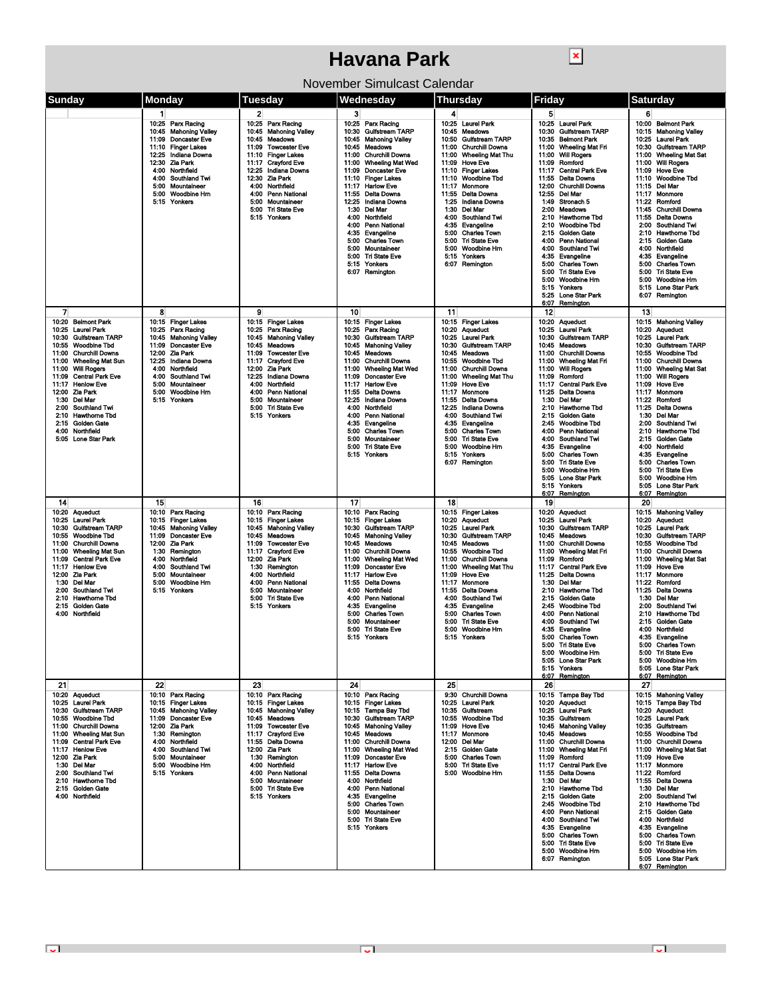## **Havana Park**

 $\boxed{\textbf{x}}$ 

| Sunday<br><b>Monday</b><br>Friday<br>Tuesdav<br>Wednesdav<br>Thursday                                                                                                                                                                                                                                                                                                                  | <b>Saturday</b>                                                     |
|----------------------------------------------------------------------------------------------------------------------------------------------------------------------------------------------------------------------------------------------------------------------------------------------------------------------------------------------------------------------------------------|---------------------------------------------------------------------|
| $\mathbf{2}$<br>3<br>5<br>1<br>4                                                                                                                                                                                                                                                                                                                                                       | 6                                                                   |
| 10:25 Parx Racing<br>10:25<br>10:25 Parx Racing<br>10:25 Laurel Park<br>10:25 Laurel Park<br>Parx Racing                                                                                                                                                                                                                                                                               | 10:00 Belmont Park                                                  |
| 10:45 Mahoning Valley<br><b>Mahoning Valley</b><br>10:30 Guifstream TARP<br>10:45 Meadows<br>10:30<br><b>Gulfstream TARP</b><br>10:45<br>11:09 Doncaster Eve<br><b>Meadows</b><br>10:45 Mahoning Valley<br><b>Gulfstream TARP</b><br>10:45<br>10:50<br>10:35<br><b>Belmont Park</b>                                                                                                    | 10:15 Mahoning Valley<br>10:25 Laurel Park                          |
| 11:10 Finger Lakes<br><b>Towcester Eve</b><br>10:45 Meadows<br>11:00 Churchill Downs<br><b>Wheeling Mat Fri</b><br>11:09<br>11:00                                                                                                                                                                                                                                                      | 10:30 Gulfstream TARP                                               |
| <b>Finger Lakes</b><br>12:25 Indiana Downs<br>11:10<br>11:00<br><b>Churchill Downs</b><br>11:00<br>Wheeling Mat Thu<br>11:00<br><b>Will Rogers</b><br>12:30 Zia Park<br><b>Cravford Eve</b><br>11:00<br><b>Wheeling Mat Wed</b><br>11:09<br><b>Hove Eve</b><br>Romford                                                                                                                 | 11:00 Wheeling Mat Sat<br>11:00 Will Rogers                         |
| 11:17<br>11:09<br>Northfield<br>11:09 Doncaster Eve<br>11:10 Finger Lakes<br>4:00<br>12:25<br>Indiana Downs<br>11:17<br><b>Central Park Eve</b>                                                                                                                                                                                                                                        | 11:09 Hove Eve                                                      |
| 11:10 Woodbine Tbd<br>4:00<br>Southland Twi<br>12:30<br>Zia Park<br>11:10 Finger Lakes<br>11:55<br>Delta Downs<br>Mountaineer<br>Northfield<br>12:00 Churchill Downs<br>5:00<br>4:00<br>11:17<br>Monmore                                                                                                                                                                               | 11:10<br><b>Woodbine Tbd</b><br>11:15 Del Mar                       |
| 11:17 Harlow Eve<br>5:00 Woodbine Hm<br>Penn National<br>11:55 Delta Downs<br>11:55 Delta Downs<br>12:55<br>Del Mar<br>4:00                                                                                                                                                                                                                                                            | <b>Monmore</b><br>11:17                                             |
| 5:15 Yonkers<br>5:00<br>Mountaineer<br>12:25<br>Indiana Downs<br>1:25<br>Indiana Downs<br>Stronach 5<br>1:49<br>1:30<br>1:30<br>5:00<br><b>Tri State Eve</b><br>Del Mar<br>Del Mar<br>2:00 Meadows                                                                                                                                                                                     | 11:22 Romford<br>11:45<br><b>Churchill Downs</b>                    |
| 5:15 Yonkers<br>4:00<br>Northfield<br>4:00<br>Southland Twi<br>2:10<br><b>Hawthorne Tbd</b>                                                                                                                                                                                                                                                                                            | 11:55<br><b>Delta Downs</b>                                         |
| 4:00 Penn National<br>Evangeline<br><b>Woodbine Tbd</b><br>4:35<br>2:10<br><b>Charles Town</b><br><b>Golden Gate</b><br>4:35<br>Evangeline<br>5:00<br>2:15                                                                                                                                                                                                                             | 2:00<br><b>Southland Twi</b><br>2:10<br><b>Hawthome Tbd</b>         |
| <b>Charles Town</b><br>5:00<br><b>Tri State Eve</b><br>4:00 Penn National<br>5:00                                                                                                                                                                                                                                                                                                      | 2:15<br>Golden Gate                                                 |
| Mountaineer<br><b>Woodbine Hm</b><br>4:00 Southland Twi<br>5:00<br>5:00<br><b>Tri State Eve</b><br>Evangeline<br>5:00<br>4:35<br>5:15<br>Yonkers                                                                                                                                                                                                                                       | 4:00<br>Northfield<br>4:35<br>Evangeline                            |
| <b>Charles Town</b><br>5:15<br>Yonkers<br>6:07 Remington<br>5.00                                                                                                                                                                                                                                                                                                                       | <b>Charles Town</b><br>5:00                                         |
| <b>Tri State Eve</b><br>6:07 Remington<br>5:00<br>5:00<br>Woodbine Hm                                                                                                                                                                                                                                                                                                                  | 5:00<br><b>Tri State Eve</b><br>5:00<br>Woodbine Hm                 |
| 5:15 Yonkers                                                                                                                                                                                                                                                                                                                                                                           | 5:15 Lone Star Park                                                 |
| 5:25 Lone Star Park<br>6:07 Remington                                                                                                                                                                                                                                                                                                                                                  | 6:07 Remington                                                      |
| 9<br>12<br>7<br>8<br>10<br>11                                                                                                                                                                                                                                                                                                                                                          | 13                                                                  |
| 10:15 Finger Lakes<br>10:15 Finger Lakes<br>10:15 Finger Lakes<br>10:15 Finger Lakes<br>10:20 Aqueduct<br>10:20 Belmont Park<br>10:25 Parx Racing<br>Parx Racing<br>10:25 Parx Racing<br>10:20 Aqueduct<br>10:25 Laurel Park<br>10:25 Laurel Park<br>10:25                                                                                                                             | 10:15 Mahoning Valley<br>10:20 Aqueduct                             |
| 10:45 Mahoning Valley<br><b>Mahoning Valley</b><br>10:30 Gulfstream TARP<br><b>Laurel Park</b><br>10:30 Gulfstream TARP<br>10:45<br>10:25<br>10:30 Gulfstream TARP                                                                                                                                                                                                                     | 10:25 Laurel Park                                                   |
| 11:09 Doncaster Eve<br>Meadows<br>10:45 Mahoning Valley<br><b>Gulfstream TARP</b><br>10:55<br><b>Woodbine Tbd</b><br>10:45<br>10:30<br>10:45 Meadows<br>12:00 Zia Park<br>10:45 Meadows<br><b>Meadows</b><br>11:00 Churchill Downs<br>11:00 Churchill Downs<br>11:09<br><b>Towcester Eve</b><br>10:45                                                                                  | 10:30 Gulfstream TARP<br>10:55<br><b>Woodbine Tbd</b>               |
| 11:00<br><b>Wheeling Mat Sun</b><br>12:25 Indiana Downs<br>11:17<br><b>Crayford Eve</b><br>11:00<br><b>Churchill Downs</b><br>10:55<br><b>Woodbine Tbd</b><br>11:00<br>Wheeling Mat Fri                                                                                                                                                                                                | 11:00 Churchill Downs                                               |
| 11:00<br><b>Will Rogers</b><br>4:00<br>Northfield<br>12:00<br>Zia Park<br>11:00<br><b>Wheeling Mat Wed</b><br>11:00<br><b>Churchill Downs</b><br>11:00<br><b>Will Rogers</b><br><b>Central Park Eve</b><br><b>Southland Twi</b><br><b>Indiana Downs</b><br><b>Doncaster Eve</b><br>Wheeling Mat Thu<br>Romford<br>11:09<br>4:00<br>12:25<br>11:09<br>11:00<br>11:09                    | 11:00<br><b>Wheeling Mat Sat</b><br>11:00<br><b>Will Rogers</b>     |
| <b>Hove Eve</b><br>11:17 Henlow Eve<br>5:00<br>Mountaineer<br>4:00<br>Northfield<br>11:17<br><b>Harlow Eve</b><br>11:09<br>11:17<br><b>Central Park Eve</b>                                                                                                                                                                                                                            | 11:09<br><b>Hove Eve</b>                                            |
| 12:00 Zia Park<br>Woodbine Hm<br><b>Penn National</b><br>11:55<br><b>Delta Downs</b><br>11:17<br><b>Monmore</b><br>11:25<br><b>Delta Downs</b><br>5:00<br>4:00<br>Del Mar<br>1:30 Del Mar<br>5:15 Yonkers<br>5:00<br>Mountaineer<br>12:25<br>Indiana Downs<br>11:55<br>Delta Downs<br>1:30                                                                                             | 11:17<br>Monmore<br>11:22<br>Romford                                |
| 12:25<br><b>Hawthorne Tbd</b><br>2:00<br>Southland Twi<br>5:00<br>Tri State Eve<br>4:00<br>Northfield<br>Indiana Downs<br>2:10                                                                                                                                                                                                                                                         | 11:25<br><b>Delta Downs</b>                                         |
| 5:15 Yonkers<br>4:00<br>Southland Twi<br><b>Golden Gate</b><br>2:10<br><b>Hawthome Tbd</b><br>4:00<br>Penn National<br>2:15<br>2:15 Golden Gate<br>4:35<br>Evangeline<br>4:35<br>Evangeline<br>2:45<br><b>Woodbine Tbd</b>                                                                                                                                                             | 1:30<br><b>Del Mar</b><br>2:00<br><b>Southland Twi</b>              |
| 4:00 Northfield<br>5:00<br><b>Charles Town</b><br>5:00<br><b>Charles Town</b><br>4:00<br>Penn National<br>Mountaineer                                                                                                                                                                                                                                                                  | 2:10<br><b>Hawthome Tbd</b>                                         |
| 5:05 Lone Star Park<br>5:00<br>5:00<br><b>Tri State Eve</b><br>4:00 Southland Twi<br>5:00<br><b>Tri State Eve</b><br>5:00<br>Woodbine Hm<br>4:35<br>Evangeline                                                                                                                                                                                                                         | <b>Golden Gate</b><br>2:15<br>4:00<br>Northfield                    |
| 5:15 Yonkers<br>Yonkers<br><b>Charles Town</b><br>5:15<br>5.00<br>5:00 Tri State Eve                                                                                                                                                                                                                                                                                                   | 4:35<br>Evangeline<br>5:00                                          |
| 6:07 Remington<br>5:00 Woodbine Hm                                                                                                                                                                                                                                                                                                                                                     | <b>Charles Town</b><br>5:00<br><b>Tri State Eve</b>                 |
| 5:05<br><b>Lone Star Park</b><br>5.15 Yonkers                                                                                                                                                                                                                                                                                                                                          | 5:00<br>Woodbine Hm<br>5:05 Lone Star Park                          |
| Remington<br>6:07                                                                                                                                                                                                                                                                                                                                                                      | 6:07 Remington                                                      |
| 18<br>15<br>16<br>17<br>14<br>19                                                                                                                                                                                                                                                                                                                                                       | 20                                                                  |
| 10:10 Parx Racing<br>10:10 Parx Racing<br>10:15 Finger Lakes<br>10:20 Aqueduct<br>10:20 Aqueduct<br>10:10 Parx Racing<br><b>Laurel Park</b><br><b>Finger Lakes</b><br><b>Finger Lakes</b><br>10:15 Finger Lakes<br><b>Aqueduct</b><br>10:25<br><b>Laurel Park</b><br>10:25<br>10:15<br>10:15<br>10:20                                                                                  | 10:15 Mahoning Valley<br>10:20<br><b>Aqueduct</b>                   |
| <b>Gulfstream TARP</b><br><b>Mahoning Valley</b><br><b>Mahoning Valley</b><br><b>Gulfstream TARP</b><br><b>Gulfstream TARP</b><br>10:30<br>10:45<br>10:45<br>10:30<br>10:25<br><b>Laurel Park</b><br>10:30<br><b>Woodbine Tbd</b><br>11:09<br><b>Doncaster Eve</b><br>10:45<br><b>Meadows</b><br>10:45 Mahoning Valley<br>10:30<br><b>Guifstream TARP</b><br>10:45<br>Meadows<br>10:55 | <b>Laurel Park</b><br>10:25<br>10:30<br>Gulfstream TARP             |
| 12:00<br>Zia Park<br><b>Towcester Eve</b><br>11:00<br><b>Churchill Downs</b><br>11:09<br>10:45 Meadows<br>10:45<br>Meadows<br>11:00<br><b>Churchill Downs</b>                                                                                                                                                                                                                          | Woodbine Tbd<br>10:55                                               |
| <b>Wheeling Mat Sun</b><br>Remington<br><b>Crayford Eve</b><br><b>Churchill Downs</b><br>10:55<br>Woodbine Tbd<br><b>Wheeling Mat Fri</b><br>11:00<br>1:30<br>11:17<br>11:00<br>11:00<br><b>Central Park Eve</b><br>Northfield<br>Zia Park<br><b>Wheeling Mat Wed</b><br><b>Churchill Downs</b><br>Romford<br>11:09<br>4:00<br>12:00<br>11:00<br>11:00<br>11:09                        | <b>Churchill Downs</b><br>11:00<br><b>Wheeling Mat Sat</b><br>11:00 |
| 11:17<br><b>Henlow Eve</b><br>4.00<br>Southland Twi<br>1:30<br>Remington<br>11:09<br><b>Doncaster Eve</b><br>11:00<br><b>Wheeling Mat Thu</b><br>11:17<br><b>Central Park Eve</b>                                                                                                                                                                                                      | 11:09<br><b>Hove Eve</b>                                            |
| 12:00 Zia Park<br>5:00<br>Mountaineer<br>4:00<br>Northfield<br>11:17<br><b>Harlow Eve</b><br>11:09<br><b>Hove Eve</b><br>11:25<br>Delta Downs<br>1:30 Del Mar<br>Woodbine Hm<br><b>Penn National</b><br><b>Delta Downs</b><br>Monmore<br>Del Mar<br>5:00<br>4:00<br>11:55<br>11:17<br>1:30                                                                                             | 11:17<br>Monmore<br>Romford<br>11:22                                |
| 2:00 Southland Twi<br>5:15 Yonkers<br>5:00<br>Mountaineer<br>4:00<br>Northfield<br>11:55<br><b>Delta Downs</b><br>2:10<br><b>Hawthorne Tbd</b>                                                                                                                                                                                                                                         | 11:25<br><b>Delta Downs</b>                                         |
| 2:10 Hawthome Tbd<br>Tri State Eve<br>4:00 Penn National<br>4.00<br><b>Southland Twi</b><br><b>Golden Gate</b><br>5:00<br>2:15<br>2:15 Golden Gate<br>5:15 Yonkers<br>Evangeline<br>4:35<br>Evangeline<br>2:45 Woodbine Tbd<br>4:35                                                                                                                                                    | 1:30<br>Del Mar<br>2:00<br><b>Southland Twi</b>                     |
| 4:00 Northfield<br>5:00<br><b>Charles Town</b><br>5:00<br><b>Charles Town</b><br>4.00<br>Penn National                                                                                                                                                                                                                                                                                 | 2:10<br><b>Hawthome Tbd</b>                                         |
| 5:00<br>Mountaineer<br>5:00<br><b>Tri State Eve</b><br>4:00<br>Southland Twi<br>5:00<br><b>Tri State Eve</b><br>5:00<br>Woodbine Hm<br>4:35<br>Evangeline                                                                                                                                                                                                                              | 2:15<br>Golden Gate<br>4:00<br>Northfield                           |
| 5:00 Charles Town<br>5:15 Yonkers<br>5:15 Yonkers<br>5:00 Tri State Eve                                                                                                                                                                                                                                                                                                                | Evangeline<br>4:35<br>5:00 Charles Town                             |
| 5:00 Woodbine Hrr                                                                                                                                                                                                                                                                                                                                                                      | 5:00<br><b>Tri State Fve</b>                                        |
| 5:05 Lone Star Park<br>5:15 Yonkers                                                                                                                                                                                                                                                                                                                                                    | 5:00 Woodbine Hm<br>5:05 Lone Star Park                             |
| 6:07 Remington                                                                                                                                                                                                                                                                                                                                                                         | 6:07 Remington                                                      |
| 22<br>23<br>24<br>25<br>21<br>26<br>10:10 Parx Racing<br>9:30 Churchill Downs<br>10:20 Aqueduct<br>10:10 Parx Racing<br>10:10 Parx Racing<br>10:15 Tampa Bay Tbd                                                                                                                                                                                                                       | 27<br>10:15 Mahoning Valley                                         |
| 10:25 Laurel Park<br>10:15 Finger Lakes<br>10:15 Finger Lakes<br>10:15 Finger Lakes<br>10:25 Laurel Park<br>10:20 Aqueduct                                                                                                                                                                                                                                                             | 10:15 Tampa Bay Tbd                                                 |
| 10:30 Gulfstream TARP<br>10:45 Mahoning Valley<br>10:25 Laurel Park<br>10:45 Mahoning Valley<br>10:15 Tampa Bay Tbd<br>10:35 Gulfstream<br>11:09 Doncaster Eve<br>10:30 Gulfstream TARP<br>10:35 Gulfstream<br>10:55 Woodbine Tbd<br>10:45 Meadows<br>10:55 Woodbine Tbd                                                                                                               | 10:20 Aqueduct<br>10:25 Laurel Park                                 |
| 11:00 Churchill Downs<br>12:00 Zia Park<br>11:09 Towcester Eve<br>10:45 Mahoning Valley<br>11:09 Hove Eve<br>10:45 Mahoning Valley                                                                                                                                                                                                                                                     | 10:35 Gulfstream                                                    |
| 11:00 Wheeling Mat Sun<br>1:30 Remington<br>11:17 Crayford Eve<br>10:45 Meadows<br><b>Monmore</b><br>10:45 Meadows<br>11:17<br>4:00 Northfield<br>11:09 Central Park Eve<br>11.55 Delta Downs<br>11:00 Churchill Downs<br>12:00 Del Mar<br>11:00 Churchill Downs                                                                                                                       | 10:55 Woodbine Tbd<br>11:00 Churchill Downs                         |
| 4:00 Southland Twi<br>12:00 Zia Park<br>11:00 Wheeling Mat Wed<br>2:15 Golden Gate<br>11:00 Wheeling Mat Fri<br>11:17 Henlow Eve                                                                                                                                                                                                                                                       | 11:00 Wheeling Mat Sat                                              |
| 1:30 Remington<br>12.00 Zia Park<br>5:00 Mountaineer<br>11:09 Doncaster Eve<br>5:00 Charles Town<br>11:09 Romford<br>5:00 Woodbine Hrn<br>4:00 Northfield<br>1:30 Del Mar<br>11:17 Harlow Eve<br>5:00 Tri State Eve<br>11:17 Central Park Eve                                                                                                                                          | 11:09 Hove Eve<br>11:17 Monmore                                     |
| 2:00 Southland Twi<br>5:15 Yonkers<br>4:00<br>Penn National<br>11:55 Delta Downs<br>5:00 Woodbine Hm<br>11:55 Delta Downs                                                                                                                                                                                                                                                              | 11:22 Romford                                                       |
| 2:10 Hawthorne Tbd<br>5:00<br>Mountaineer<br>4:00 Northfield<br>1:30 Del Mar<br>2:15 Golden Gate<br>5:00 Tri State Eve<br>4:00 Penn National<br>2:10 Hawthorne Tbd                                                                                                                                                                                                                     | 11:55 Delta Downs<br>1:30 Del Mar                                   |
| 4:35 Evangeline<br>2:15 Golden Gate<br>4:00 Northfield<br>5:15 Yonkers                                                                                                                                                                                                                                                                                                                 | 2:00 Southland Twi                                                  |
| 5:00 Charles Town<br>2:45 Woodbine Tbd<br>5:00 Mountaineer<br>4:00 Penn National                                                                                                                                                                                                                                                                                                       | 2:10 Hawthome Tbd<br>2:15 Golden Gate                               |
| 5:00 Tri State Eve<br>4:00 Southland Twi<br>5:15 Yonkers<br>4:35 Evangeline                                                                                                                                                                                                                                                                                                            | 4:00 Northfield<br>4:35 Evangeline                                  |
| 5:00 Charles Town                                                                                                                                                                                                                                                                                                                                                                      | 5:00 Charles Town                                                   |
|                                                                                                                                                                                                                                                                                                                                                                                        |                                                                     |
| 5:00 Tri State Eve<br>5:00 Woodbine Hm                                                                                                                                                                                                                                                                                                                                                 | 5:00 Tri State Eve<br>5:00 Woodbine Hm                              |